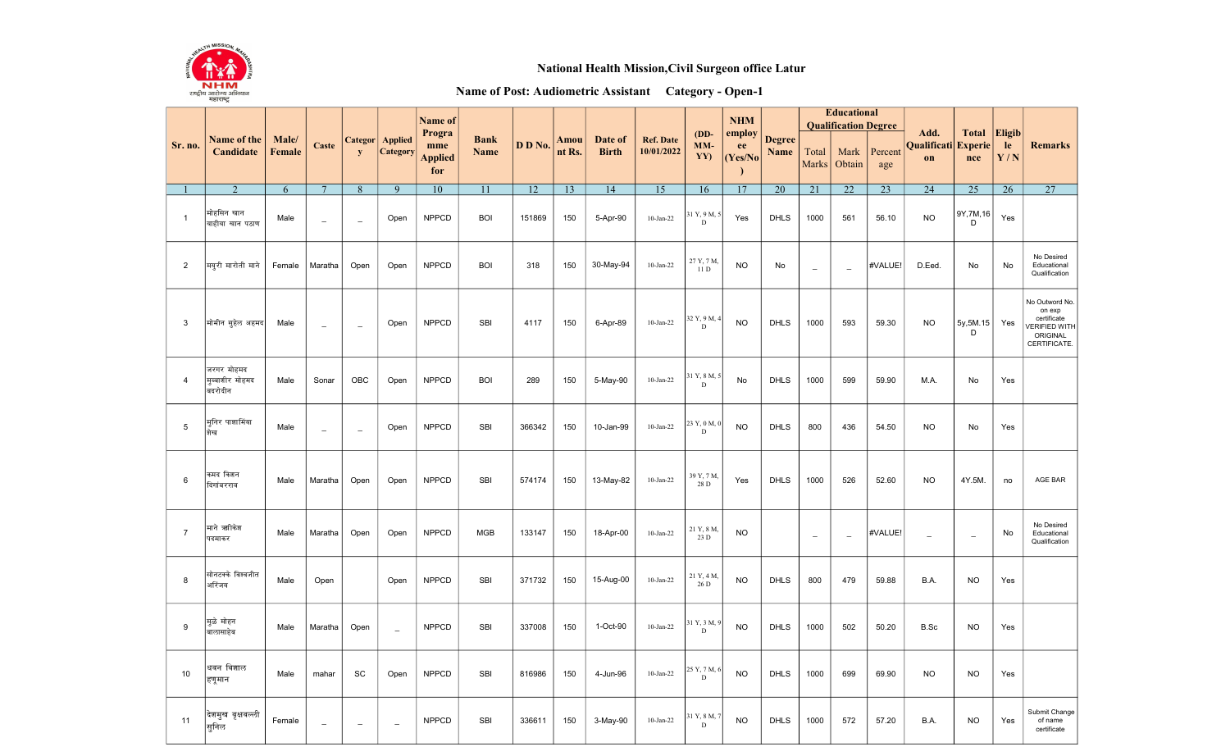

## National Health Mission, Civil Surgeon office Latur

## Name of Post: Audiometric Assistant Category - Open-1

|                 | Name of the<br>Candidate                 |                        |                          | <b>Categor</b><br>${\bf y}$ | Applied<br>Category      | Name of<br>Progra<br>mme<br><b>Applied</b><br>for | <b>Bank</b><br><b>Name</b> | D D No.         |                | Date of<br><b>Birth</b> | <b>Ref. Date</b><br>10/01/2022 | $(DD-$<br>$MM-$<br>YY)      | <b>NHM</b><br>employ<br>ee<br>(Yes/No) | <b>Degree</b><br>Name | <b>Educational</b><br><b>Qualification Degree</b> |                          |                |                                   |                          |                     |                                                                                             |
|-----------------|------------------------------------------|------------------------|--------------------------|-----------------------------|--------------------------|---------------------------------------------------|----------------------------|-----------------|----------------|-------------------------|--------------------------------|-----------------------------|----------------------------------------|-----------------------|---------------------------------------------------|--------------------------|----------------|-----------------------------------|--------------------------|---------------------|---------------------------------------------------------------------------------------------|
| Sr. no.         |                                          | Male/<br><b>Female</b> | Caste                    |                             |                          |                                                   |                            |                 | Amou<br>nt Rs. |                         |                                |                             |                                        |                       | Total<br>Marks                                    | Mark<br>Obtain           | Percent<br>age | Add.<br>Qualificati Experie<br>on | <b>Total</b><br>nce      | Eligib<br>le<br>Y/N | <b>Remarks</b>                                                                              |
|                 | $\overline{2}$                           | 6                      | $7\overline{ }$          | 8                           | 9                        | 10                                                | 11                         | $\overline{12}$ | 13             | 14                      | $\overline{15}$                | 16                          | 17                                     | 20                    | 21                                                | 22                       | 23             | $\overline{24}$                   | 25                       | 26                  | $\overline{27}$                                                                             |
| $\overline{1}$  | मोहसिन खान<br>याहीया खान पठाण            | Male                   | $\overline{\phantom{m}}$ | $\overline{\phantom{a}}$    | Open                     | <b>NPPCD</b>                                      | <b>BOI</b>                 | 151869          | 150            | 5-Apr-90                | $10$ -Jan-22                   | 31 Y, 9 M, :<br>$\mathbf D$ | Yes                                    | <b>DHLS</b>           | 1000                                              | 561                      | 56.10          | <b>NO</b>                         | 9Y,7M,16<br>D            | Yes                 |                                                                                             |
| $\overline{2}$  | मयुरी मारोती माने                        | Female                 | Maratha                  | Open                        | Open                     | <b>NPPCD</b>                                      | <b>BOI</b>                 | 318             | 150            | 30-May-94               | $10$ -Jan-22                   | 27 Y, 7 M<br>11 D           | <b>NO</b>                              | No                    | $\overline{\phantom{a}}$                          | $\equiv$                 | #VALUE!        | D.Eed.                            | No                       | No                  | No Desired<br>Educational<br>Qualification                                                  |
| 3               | मोमीन सुहेल अहमद                         | Male                   | $\equiv$                 | $\overline{\phantom{a}}$    | Open                     | <b>NPPCD</b>                                      | <b>SBI</b>                 | 4117            | 150            | 6-Apr-89                | $10$ -Jan-22                   | 32 Y, 9 M, 4<br>$\mathbf D$ | <b>NO</b>                              | <b>DHLS</b>           | 1000                                              | 593                      | 59.30          | <b>NO</b>                         | 5y, 5M. 15<br>D          | Yes                 | No Outword No.<br>on exp<br>certificate<br><b>VERIFIED WITH</b><br>ORIGINAL<br>CERTIFICATE. |
| $\overline{4}$  | जरगर मोहमद<br>मूब्बाशीर मोहमद<br>बदरोदीन | Male                   | Sonar                    | OBC                         | Open                     | <b>NPPCD</b>                                      | <b>BOI</b>                 | 289             | 150            | 5-May-90                | $10$ -Jan-22                   | 31 Y, 8 M, 5<br>D           | No                                     | <b>DHLS</b>           | 1000                                              | 599                      | 59.90          | M.A.                              | No                       | Yes                 |                                                                                             |
| $\,$ 5 $\,$     | मुनिर पाशामिंया<br>शिख                   | Male                   | $\overline{\phantom{0}}$ | $\overline{\phantom{a}}$    | Open                     | <b>NPPCD</b>                                      | SBI                        | 366342          | 150            | 10-Jan-99               | $10$ -Jan-22                   | 23 Y, 0 M, 0<br>$\mathbf D$ | <b>NO</b>                              | DHLS                  | 800                                               | 436                      | 54.50          | <b>NO</b>                         | No                       | Yes                 |                                                                                             |
| $6\phantom{1}6$ | कमद किशन<br>दिगांबरराव                   | Male                   | Maratha                  | Open                        | Open                     | <b>NPPCD</b>                                      | SBI                        | 574174          | 150            | 13-May-82               | $10$ -Jan-22                   | 39 Y, 7 M.<br>28 D          | Yes                                    | <b>DHLS</b>           | 1000                                              | 526                      | 52.60          | <b>NO</b>                         | 4Y.5M.                   | no                  | AGE BAR                                                                                     |
| $\overline{7}$  | माने ऋगिकेश<br>पदमाकर                    | Male                   | Maratha                  | Open                        | Open                     | <b>NPPCD</b>                                      | <b>MGB</b>                 | 133147          | 150            | 18-Apr-00               | $10$ -Jan-22                   | 21 Y, 8 M,<br>23 D          | <b>NO</b>                              |                       | $\overline{\phantom{a}}$                          | $\overline{\phantom{0}}$ | #VALUE!        | $\overline{\phantom{0}}$          | $\overline{\phantom{a}}$ | No                  | No Desired<br>Educational<br>Qualification                                                  |
| 8               | सोनटक्के विश्वजीत<br>अरिंजय              | Male                   | Open                     |                             | Open                     | <b>NPPCD</b>                                      | SBI                        | 371732          | 150            | 15-Aug-00               | $10$ -Jan-22                   | 21 Y, 4 M,<br>26 D          | <b>NO</b>                              | <b>DHLS</b>           | 800                                               | 479                      | 59.88          | B.A.                              | <b>NO</b>                | Yes                 |                                                                                             |
| 9               | मुळे मोहन<br>बालासाहेब                   | Male                   | Maratha                  | Open                        | $\overline{\phantom{0}}$ | <b>NPPCD</b>                                      | SBI                        | 337008          | 150            | 1-Oct-90                | $10$ -Jan-22                   | 31 Y, 3 M, 9<br>$\mathbf D$ | <b>NO</b>                              | DHLS                  | 1000                                              | 502                      | 50.20          | B.Sc                              | <b>NO</b>                | Yes                 |                                                                                             |
| 10              | धवन विशाल<br>हणूमान                      | Male                   | mahar                    | SC                          | Open                     | <b>NPPCD</b>                                      | <b>SBI</b>                 | 816986          | 150            | 4-Jun-96                | $10$ -Jan-22                   | 25 Y, 7 M, 6<br>$\mathbf D$ | <b>NO</b>                              | <b>DHLS</b>           | 1000                                              | 699                      | 69.90          | <b>NO</b>                         | <b>NO</b>                | Yes                 |                                                                                             |
| 11              | देशमुख वृक्षवल्ली<br>सुनिल               | Female                 | $\overline{\phantom{a}}$ | $\overline{\phantom{a}}$    | $\overline{\phantom{a}}$ | <b>NPPCD</b>                                      | <b>SBI</b>                 | 336611          | 150            | 3-May-90                | $10$ -Jan-22                   | 31 Y, 8 M,<br>$\mathbf D$   | <b>NO</b>                              | DHLS                  | 1000                                              | 572                      | 57.20          | B.A.                              | <b>NO</b>                | Yes                 | Submit Change<br>of name<br>certificate                                                     |